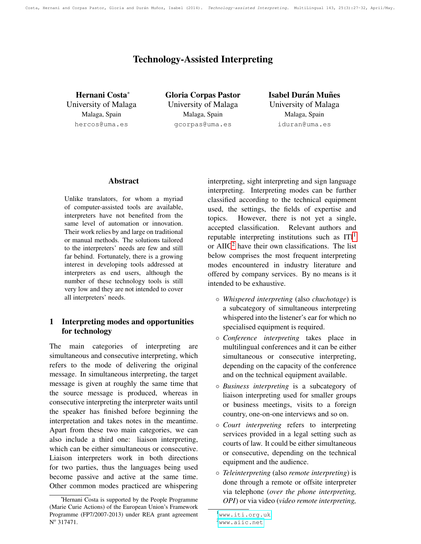Costa, Hernani and Corpas Pastor, Gloria and Durán Muñoz, Isabel (2014). Technology-assisted Interpreting. MultiLingual 143, 25(3):27-32, April/May.

# Technology-Assisted Interpreting

Hernani Costa<sup>∗</sup> University of Malaga Malaga, Spain hercos@uma.es

Gloria Corpas Pastor University of Malaga Malaga, Spain gcorpas@uma.es

**Isabel Durán Muñes** University of Malaga Malaga, Spain iduran@uma.es

#### Abstract

Unlike translators, for whom a myriad of computer-assisted tools are available, interpreters have not benefited from the same level of automation or innovation. Their work relies by and large on traditional or manual methods. The solutions tailored to the interpreters' needs are few and still far behind. Fortunately, there is a growing interest in developing tools addressed at interpreters as end users, although the number of these technology tools is still very low and they are not intended to cover all interpreters' needs.

### 1 Interpreting modes and opportunities for technology

The main categories of interpreting are simultaneous and consecutive interpreting, which refers to the mode of delivering the original message. In simultaneous interpreting, the target message is given at roughly the same time that the source message is produced, whereas in consecutive interpreting the interpreter waits until the speaker has finished before beginning the interpretation and takes notes in the meantime. Apart from these two main categories, we can also include a third one: liaison interpreting, which can be either simultaneous or consecutive. Liaison interpreters work in both directions for two parties, thus the languages being used become passive and active at the same time. Other common modes practiced are whispering interpreting, sight interpreting and sign language interpreting. Interpreting modes can be further classified according to the technical equipment used, the settings, the fields of expertise and topics. However, there is not yet a single, accepted classification. Relevant authors and reputable interpreting institutions such as  $ITI<sup>1</sup>$  $ITI<sup>1</sup>$  $ITI<sup>1</sup>$ or  $AIC<sup>2</sup>$  $AIC<sup>2</sup>$  $AIC<sup>2</sup>$  have their own classifications. The list below comprises the most frequent interpreting modes encountered in industry literature and offered by company services. By no means is it intended to be exhaustive.

- *Whispered interpreting* (also *chuchotage*) is a subcategory of simultaneous interpreting whispered into the listener's ear for which no specialised equipment is required.
- *Conference interpreting* takes place in multilingual conferences and it can be either simultaneous or consecutive interpreting, depending on the capacity of the conference and on the technical equipment available.
- *Business interpreting* is a subcategory of liaison interpreting used for smaller groups or business meetings, visits to a foreign country, one-on-one interviews and so on.
- *Court interpreting* refers to interpreting services provided in a legal setting such as courts of law. It could be either simultaneous or consecutive, depending on the technical equipment and the audience.
- *Teleinterpreting* (also *remote interpreting*) is done through a remote or offsite interpreter via telephone (*over the phone interpreting, OPI*) or via video (*video remote interpreting,*

<sup>∗</sup>Hernani Costa is supported by the People Programme (Marie Curie Actions) of the European Union's Framework Programme (FP7/2007-2013) under REA grant agreement N<sup>o</sup> 317471.

<span id="page-0-1"></span><span id="page-0-0"></span><sup>1</sup><www.iti.org.uk>  $^{2}$ <www.aiic.net>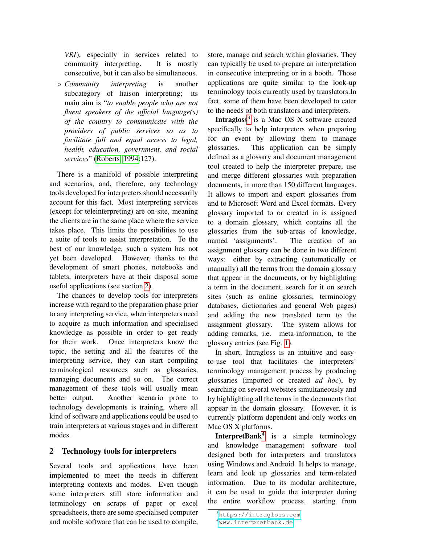*VRI*), especially in services related to community interpreting. It is mostly consecutive, but it can also be simultaneous.

◦ *Community interpreting* is another subcategory of liaison interpreting; its main aim is "*to enable people who are not fluent speakers of the official language(s) of the country to communicate with the providers of public services so as to facilitate full and equal access to legal, health, education, government, and social services*" [\(Roberts, 1994:](#page-6-0)127).

There is a manifold of possible interpreting and scenarios, and, therefore, any technology tools developed for interpreters should necessarily account for this fact. Most interpreting services (except for teleinterpreting) are on-site, meaning the clients are in the same place where the service takes place. This limits the possibilities to use a suite of tools to assist interpretation. To the best of our knowledge, such a system has not yet been developed. However, thanks to the development of smart phones, notebooks and tablets, interpreters have at their disposal some useful applications (see section [2\)](#page-1-0).

The chances to develop tools for interpreters increase with regard to the preparation phase prior to any interpreting service, when interpreters need to acquire as much information and specialised knowledge as possible in order to get ready for their work. Once interpreters know the topic, the setting and all the features of the interpreting service, they can start compiling terminological resources such as glossaries, managing documents and so on. The correct management of these tools will usually mean better output. Another scenario prone to technology developments is training, where all kind of software and applications could be used to train interpreters at various stages and in different modes.

#### <span id="page-1-0"></span>2 Technology tools for interpreters

Several tools and applications have been implemented to meet the needs in different interpreting contexts and modes. Even though some interpreters still store information and terminology on scraps of paper or excel spreadsheets, there are some specialised computer and mobile software that can be used to compile, store, manage and search within glossaries. They can typically be used to prepare an interpretation in consecutive interpreting or in a booth. Those applications are quite similar to the look-up terminology tools currently used by translators.In fact, some of them have been developed to cater to the needs of both translators and interpreters.

Intragloss<sup>[3](#page-1-1)</sup> is a Mac OS X software created specifically to help interpreters when preparing for an event by allowing them to manage glossaries. This application can be simply defined as a glossary and document management tool created to help the interpreter prepare, use and merge different glossaries with preparation documents, in more than 150 different languages. It allows to import and export glossaries from and to Microsoft Word and Excel formats. Every glossary imported to or created in is assigned to a domain glossary, which contains all the glossaries from the sub-areas of knowledge, named 'assignments'. The creation of an assignment glossary can be done in two different ways: either by extracting (automatically or manually) all the terms from the domain glossary that appear in the documents, or by highlighting a term in the document, search for it on search sites (such as online glossaries, terminology databases, dictionaries and general Web pages) and adding the new translated term to the assignment glossary. The system allows for adding remarks, i.e. meta-information, to the glossary entries (see Fig. [1\)](#page-2-0).

In short, Intragloss is an intuitive and easyto-use tool that facilitates the interpreters' terminology management process by producing glossaries (imported or created *ad hoc*), by searching on several websites simultaneously and by highlighting all the terms in the documents that appear in the domain glossary. However, it is currently platform dependent and only works on Mac OS X platforms.

InterpretBank<sup>[4](#page-1-2)</sup> is a simple terminology and knowledge management software tool designed both for interpreters and translators using Windows and Android. It helps to manage, learn and look up glossaries and term-related information. Due to its modular architecture, it can be used to guide the interpreter during the entire workflow process, starting from

<span id="page-1-1"></span><sup>3</sup><https://intragloss.com>

<span id="page-1-2"></span><sup>4</sup><www.interpretbank.de>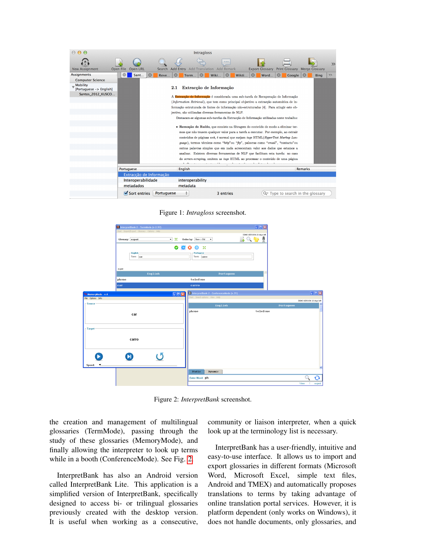| 0.00                                       |                                                                                          | <b>Intragloss</b>                                                                                                                                                              |                                                                  |  |  |  |  |  |  |  |
|--------------------------------------------|------------------------------------------------------------------------------------------|--------------------------------------------------------------------------------------------------------------------------------------------------------------------------------|------------------------------------------------------------------|--|--|--|--|--|--|--|
| <b>New Assignment</b>                      | Open File<br>Open URL                                                                    | 0.0.0.<br>Search Add Entry Add Translation Add Remark                                                                                                                          | $\gg$<br><b>Export Glossary</b><br>Print Glossary Merge Glossary |  |  |  |  |  |  |  |
| <b>Assignments</b>                         | $\circledcirc$<br>Sant                                                                   | $\circledcirc$<br>Reve<br>Wiki<br>Wikti<br>Term                                                                                                                                | $\odot$<br>$\circ$<br>Word<br><b>Google</b><br><b>Bing</b>       |  |  |  |  |  |  |  |
| <b>Computer Science</b>                    |                                                                                          |                                                                                                                                                                                |                                                                  |  |  |  |  |  |  |  |
| <b>Mobility</b><br>[Portuguese -> English] |                                                                                          | Extracção de Informação<br>2.1                                                                                                                                                 |                                                                  |  |  |  |  |  |  |  |
| Santos 2012 KUSCO                          |                                                                                          | A Extracção de Informação é considerada uma sub-tarefa de Recuperação de Informação<br>(Information Retrieval), que tem como principal objectivo a extracção automática de in- |                                                                  |  |  |  |  |  |  |  |
|                                            |                                                                                          |                                                                                                                                                                                |                                                                  |  |  |  |  |  |  |  |
|                                            | formação estruturada de fontes de informação não-estruturadas [4]. Para atingir este ob- |                                                                                                                                                                                |                                                                  |  |  |  |  |  |  |  |
|                                            |                                                                                          | jectivo, são utilizadas diversas ferramentas de NLP.                                                                                                                           |                                                                  |  |  |  |  |  |  |  |
|                                            |                                                                                          | Destacam-se algumas sub-tarefas da Extracção de Informação utilizadas neste trabalho:                                                                                          |                                                                  |  |  |  |  |  |  |  |
|                                            |                                                                                          | · Remoção de Ruído, que consiste na filtragem do conteúdo de modo a eliminar ter-                                                                                              |                                                                  |  |  |  |  |  |  |  |
|                                            |                                                                                          | mos que não trazem qualquer valor para a tarefa a executar. Por exemplo, ao extrair<br>conteúdos de páginas web, é normal que surjam tags HTML(HyperText Markup Lan-           |                                                                  |  |  |  |  |  |  |  |
|                                            |                                                                                          |                                                                                                                                                                                |                                                                  |  |  |  |  |  |  |  |
|                                            |                                                                                          | guage), termos técnicos como "http" ou "ftp", palavras como "email", "contacto" ou                                                                                             |                                                                  |  |  |  |  |  |  |  |
|                                            |                                                                                          | outras palavras simples que em nada acrescentam valor aos dados que estamos a                                                                                                  |                                                                  |  |  |  |  |  |  |  |
|                                            |                                                                                          | analisar. Existem diversas ferramentas de NLP que facilitam esta tarefa: no caso                                                                                               |                                                                  |  |  |  |  |  |  |  |
|                                            |                                                                                          | do screen-scraping, omitem as tags HTML ao processar o conteúdo de uma página                                                                                                  |                                                                  |  |  |  |  |  |  |  |
|                                            |                                                                                          |                                                                                                                                                                                |                                                                  |  |  |  |  |  |  |  |
|                                            | <b>Portuguese</b>                                                                        | English                                                                                                                                                                        | Remarks                                                          |  |  |  |  |  |  |  |
|                                            | Extracção de Informação                                                                  |                                                                                                                                                                                |                                                                  |  |  |  |  |  |  |  |
|                                            | Interoperabilidade                                                                       | interoperability                                                                                                                                                               |                                                                  |  |  |  |  |  |  |  |
|                                            | metadados                                                                                | metadata                                                                                                                                                                       |                                                                  |  |  |  |  |  |  |  |
|                                            | $\sqrt{\ }$ Sort entries                                                                 | Portuguese<br>3 entries                                                                                                                                                        | Q <sup>-</sup> Type to search in the glossary                    |  |  |  |  |  |  |  |

<span id="page-2-0"></span>Figure 1: *Intragloss* screenshot.



<span id="page-2-1"></span>Figure 2: *InterpretBank* screenshot.

the creation and management of multilingual glossaries (TermMode), passing through the study of these glossaries (MemoryMode), and finally allowing the interpreter to look up terms while in a booth (ConferenceMode). See Fig. [2.](#page-2-1)

InterpretBank has also an Android version called InterpretBank Lite. This application is a simplified version of InterpretBank, specifically designed to access bi- or trilingual glossaries previously created with the desktop version. It is useful when working as a consecutive, community or liaison interpreter, when a quick look up at the terminology list is necessary.

InterpretBank has a user-friendly, intuitive and easy-to-use interface. It allows us to import and export glossaries in different formats (Microsoft Word, Microsoft Excel, simple text files, Android and TMEX) and automatically proposes translations to terms by taking advantage of online translation portal services. However, it is platform dependent (only works on Windows), it does not handle documents, only glossaries, and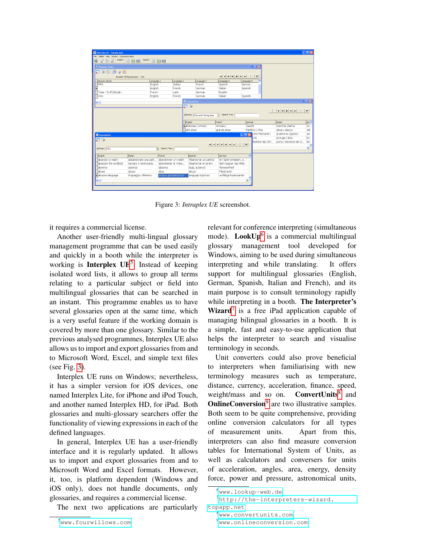| interplex UE - Sample.iplx                  |                                               |                                         |    |                                  |                                                                                             |                  |                           |                                                                           | $\Box$ olx                    |
|---------------------------------------------|-----------------------------------------------|-----------------------------------------|----|----------------------------------|---------------------------------------------------------------------------------------------|------------------|---------------------------|---------------------------------------------------------------------------|-------------------------------|
| File Utilities Help Window Expressions Menu |                                               |                                         |    |                                  |                                                                                             |                  |                           |                                                                           |                               |
| k.                                          | (* B f   mpot   - B B   B   Espot   - B B   B |                                         |    |                                  |                                                                                             |                  |                           |                                                                           |                               |
| <b>J</b> Glossary Index                     |                                               |                                         |    |                                  |                                                                                             |                  | $ \Box$ $\times$          |                                                                           |                               |
| 国自治台<br>Tel.                                |                                               |                                         |    |                                  |                                                                                             |                  |                           |                                                                           |                               |
| Number Of Expressions: 631                  |                                               |                                         |    |                                  | $ {\bf u} $ $\leq  {\bf v} $ $ {\bf v} $ $\leq  {\bf v} $ $\leq  {\bf v} $ $\leq  {\bf v} $ |                  |                           |                                                                           |                               |
| Glossary Name                               | Language 1                                    | Language 2                              |    | Language 3                       | Language 4                                                                                  | Language 5       |                           |                                                                           |                               |
| FIFA                                        | English                                       | Italian                                 |    | French                           | Spanish                                                                                     | German           |                           |                                                                           |                               |
| Þ                                           | English                                       | French                                  |    | German                           | Italian                                                                                     | Spanish          |                           |                                                                           |                               |
| Trees - En/F/G/Latin                        | French                                        | Latin                                   |    | German                           | English                                                                                     |                  |                           |                                                                           |                               |
| <b>Vino</b>                                 | English                                       | French                                  |    | German                           | Italian                                                                                     | Spanish          |                           |                                                                           |                               |
| $\left\langle \cdot \right\rangle$          |                                               |                                         |    | <b>E</b> Expressions             |                                                                                             |                  |                           |                                                                           | $ \Box$ $\times$              |
|                                             |                                               |                                         | 星崎 |                                  |                                                                                             |                  |                           |                                                                           |                               |
|                                             |                                               |                                         |    |                                  |                                                                                             |                  |                           | $\blacktriangleright$ $\blacktriangleright$ $\ket{+}$ $\ket{-}$ $\ket{+}$ | $\mathbf{c}$                  |
|                                             |                                               |                                         |    | Glossary Fish and Fishing Gear v | Search Text                                                                                 |                  |                           |                                                                           |                               |
|                                             |                                               |                                         |    |                                  |                                                                                             |                  |                           |                                                                           |                               |
|                                             |                                               |                                         |    | English                          | French                                                                                      | German           |                           | Italian                                                                   | Sp. ^                         |
|                                             |                                               |                                         |    | diabalones / ormers              | ormeaux                                                                                     | Seechr           |                           | orecchie marine                                                           | on.                           |
|                                             |                                               |                                         |    | allis shad                       | grande alose                                                                                | Maifisch / Alse  |                           | alosa / alaccia                                                           | sál                           |
| <b>Expressions</b>                          |                                               |                                         |    |                                  |                                                                                             |                  | <b>DEX</b> ome Fischarten | anadrome (specie)                                                         | an                            |
|                                             |                                               |                                         |    |                                  |                                                                                             |                  | $w$ is                    | acciuga / alice                                                           | bc                            |
|                                             |                                               |                                         |    |                                  |                                                                                             | Ilwinkel des Sch | porta / tavolone del d    | án                                                                        |                               |
| Glossary FIFA                               |                                               | Search Text<br>$\overline{\phantom{a}}$ |    |                                  |                                                                                             |                  |                           |                                                                           | $\checkmark$<br>$\rightarrow$ |
|                                             |                                               |                                         |    |                                  |                                                                                             |                  |                           |                                                                           |                               |
| English                                     | Italian                                       | French                                  |    | Spanish                          | German                                                                                      |                  |                           |                                                                           |                               |
| abandon a match                             | abbandonare una part abandonner un match      |                                         |    | Abandonar un partido             | ein Spiel verlassen, a                                                                      |                  |                           |                                                                           |                               |
| abandon the midfield                        | lasciare il centrocamp                        | abandonner le milieu                    |    | Abandonar el centro              | dem Gegner das Mitte                                                                        |                  |                           |                                                                           |                               |
| absence                                     | assenza                                       | absence                                 |    | baja, ausencia                   | Abwesenheit                                                                                 |                  |                           |                                                                           |                               |
| abuse                                       | abuso                                         | abus                                    |    | abuso                            | Missbrauch                                                                                  |                  |                           |                                                                           |                               |
| abusive language<br>O.                      | linguaggio offensivo                          | propos grossiers/injur                  |    | lenguaje injurioso               | unflätige Redensarten                                                                       |                  |                           |                                                                           |                               |
|                                             |                                               |                                         |    |                                  |                                                                                             | $\rightarrow$    |                           |                                                                           |                               |
|                                             |                                               |                                         |    |                                  |                                                                                             |                  |                           |                                                                           |                               |
|                                             |                                               |                                         |    |                                  |                                                                                             |                  |                           |                                                                           |                               |

<span id="page-3-1"></span>Figure 3: *Intraplex UE* screenshot.

it requires a commercial license.

Another user-friendly multi-lingual glossary management programme that can be used easily and quickly in a booth while the interpreter is working is **Interplex UE**<sup>[5](#page-3-0)</sup>. Instead of keeping isolated word lists, it allows to group all terms relating to a particular subject or field into multilingual glossaries that can be searched in an instant. This programme enables us to have several glossaries open at the same time, which is a very useful feature if the working domain is covered by more than one glossary. Similar to the previous analysed programmes, Interplex UE also allows us to import and export glossaries from and to Microsoft Word, Excel, and simple text files (see Fig. [3\)](#page-3-1).

Interplex UE runs on Windows; nevertheless, it has a simpler version for iOS devices, one named Interplex Lite, for iPhone and iPod Touch, and another named Interplex HD, for iPad. Both glossaries and multi-glossary searchers offer the functionality of viewing expressions in each of the defined languages.

In general, Interplex UE has a user-friendly interface and it is regularly updated. It allows us to import and export glossaries from and to Microsoft Word and Excel formats. However, it, too, is platform dependent (Windows and iOS only), does not handle documents, only glossaries, and requires a commercial license.

The next two applications are particularly

relevant for conference interpreting (simultaneous mode). LookUp<sup>[6](#page-3-2)</sup> is a commercial multilingual glossary management tool developed for Windows, aiming to be used during simultaneous interpreting and while translating. It offers support for multilingual glossaries (English, German, Spanish, Italian and French), and its main purpose is to consult terminology rapidly while interpreting in a booth. The Interpreter's Wizard<sup>[7](#page-3-3)</sup> is a free iPad application capable of managing bilingual glossaries in a booth. It is a simple, fast and easy-to-use application that helps the interpreter to search and visualise terminology in seconds.

Unit converters could also prove beneficial to interpreters when familiarising with new terminology measures such as temperature, distance, currency, acceleration, finance, speed, weight/mass and so on. ConvertUnits<sup>8</sup> and **OnlineConversion**<sup>[9](#page-3-5)</sup> are two illustrative samples. Both seem to be quite comprehensive, providing online conversion calculators for all types of measurement units. Apart from this, interpreters can also find measure conversion tables for International System of Units, as well as calculators and conversers for units of acceleration, angles, area, energy, density force, power and pressure, astronomical units,

<span id="page-3-0"></span><sup>5</sup><www.fourwillows.com>

<span id="page-3-3"></span><span id="page-3-2"></span><sup>6</sup><www.lookup-web.de>

<sup>7</sup>[http://the-interpreters-wizard.](http://the-interpreters-wizard.topapp.net)

[topapp.net](http://the-interpreters-wizard.topapp.net)

<span id="page-3-4"></span><sup>8</sup><www.convertunits.com>

<span id="page-3-5"></span><sup>9</sup><www.onlineconversion.com>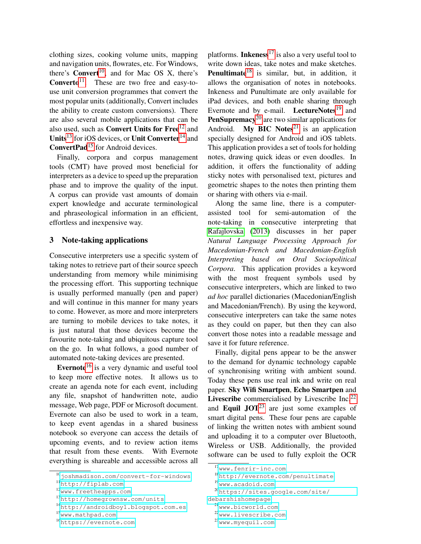clothing sizes, cooking volume units, mapping and navigation units, flowrates, etc. For Windows, there's  $Convert^{10}$  $Convert^{10}$  $Convert^{10}$ , and for Mac OS X, there's **Converto**<sup>[11](#page-4-1)</sup>. These are two free and easy-touse unit conversion programmes that convert the most popular units (additionally, Convert includes the ability to create custom conversions). There are also several mobile applications that can be also used, such as **Convert Units for Free**<sup>[12](#page-4-2)</sup> and Units<sup>[13](#page-4-3)</sup> for iOS devices, or Unit Converter<sup>[14](#page-4-4)</sup> and **ConvertPad**<sup>[15](#page-4-5)</sup> for Android devices.

Finally, corpora and corpus management tools (CMT) have proved most beneficial for interpreters as a device to speed up the preparation phase and to improve the quality of the input. A corpus can provide vast amounts of domain expert knowledge and accurate terminological and phraseological information in an efficient, effortless and inexpensive way.

#### 3 Note-taking applications

Consecutive interpreters use a specific system of taking notes to retrieve part of their source speech understanding from memory while minimising the processing effort. This supporting technique is usually performed manually (pen and paper) and will continue in this manner for many years to come. However, as more and more interpreters are turning to mobile devices to take notes, it is just natural that those devices become the favourite note-taking and ubiquitous capture tool on the go. In what follows, a good number of automated note-taking devices are presented.

Evernote<sup>[16](#page-4-6)</sup> is a very dynamic and useful tool to keep more effective notes. It allows us to create an agenda note for each event, including any file, snapshot of handwritten note, audio message, Web page, PDF or Microsoft document. Evernote can also be used to work in a team, to keep event agendas in a shared business notebook so everyone can access the details of upcoming events, and to review action items that result from these events. With Evernote everything is shareable and accessible across all platforms. **Inkeness**<sup>[17](#page-4-7)</sup> is also a very useful tool to write down ideas, take notes and make sketches. **Penultimate**<sup>[18](#page-4-8)</sup> is similar, but, in addition, it allows the organisation of notes in notebooks. Inkeness and Punultimate are only available for iPad devices, and both enable sharing through Evernote and by e-mail. LectureNotes $19$  and **PenSupremacy**<sup>[20](#page-4-10)</sup> are two similar applications for Android. My BIC Notes<sup>[21](#page-4-11)</sup> is an application specially designed for Android and iOS tablets. This application provides a set of tools for holding notes, drawing quick ideas or even doodles. In addition, it offers the functionality of adding sticky notes with personalised text, pictures and geometric shapes to the notes then printing them or sharing with others via e-mail.

Along the same line, there is a computerassisted tool for semi-automation of the note-taking in consecutive interpreting that [Rafajlovska](#page-6-1) [\(2013\)](#page-6-1) discusses in her paper *Natural Language Processing Approach for Macedonian-French and Macedonian-English Interpreting based on Oral Sociopolitical Corpora*. This application provides a keyword with the most frequent symbols used by consecutive interpreters, which are linked to two *ad hoc* parallel dictionaries (Macedonian/English and Macedonian/French). By using the keyword, consecutive interpreters can take the same notes as they could on paper, but then they can also convert those notes into a readable message and save it for future reference.

Finally, digital pens appear to be the answer to the demand for dynamic technology capable of synchronising writing with ambient sound. Today these pens use real ink and write on real paper. Sky Wifi Smartpen, Echo Smartpen and Livescribe commercialised by Livescribe Inc.<sup>[22](#page-4-12)</sup> and Equil  $JOT^{23}$  $JOT^{23}$  $JOT^{23}$  are just some examples of smart digital pens. These four pens are capable of linking the written notes with ambient sound and uploading it to a computer over Bluetooth, Wireless or USB. Additionally, the provided software can be used to fully exploit the OCR

<span id="page-4-0"></span> $10$ <joshmadison.com/convert-for-windows>

<span id="page-4-1"></span><sup>11</sup><http://fiplab.com>

<span id="page-4-2"></span><sup>12</sup><www.freetheapps.com>

<span id="page-4-3"></span><sup>13</sup><http://homegrownsw.com/units>

<span id="page-4-4"></span><sup>14</sup><http://androidboy1.blogspot.com.es>

<span id="page-4-5"></span><sup>15</sup><www.mathpad.com>

<span id="page-4-6"></span><sup>16</sup><https://evernote.com>

<span id="page-4-7"></span><sup>17</sup><www.fenrir-inc.com>

<span id="page-4-8"></span><sup>18</sup><http://evernote.com/penultimate>

<span id="page-4-9"></span><sup>19</sup><www.acadoid.com>

<span id="page-4-10"></span><sup>20</sup>[https://sites.google.com/site/](https://sites.google.com/site/debarshishomepage)

[debarshishomepage](https://sites.google.com/site/debarshishomepage)

<span id="page-4-11"></span><sup>21</sup><www.bicworld.com>

<span id="page-4-12"></span><sup>22</sup><www.livescribe.com>

<span id="page-4-13"></span><sup>23</sup><www.myequil.com>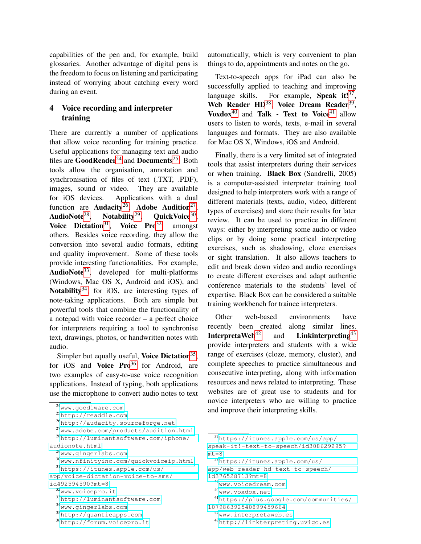capabilities of the pen and, for example, build glossaries. Another advantage of digital pens is the freedom to focus on listening and participating instead of worrying about catching every word during an event.

### 4 Voice recording and interpreter training

There are currently a number of applications that allow voice recording for training practice. Useful applications for managing text and audio files are  $GoodReader<sup>24</sup>$  $GoodReader<sup>24</sup>$  $GoodReader<sup>24</sup>$  and Documents<sup>[25](#page-5-1)</sup>. Both tools allow the organisation, annotation and synchronisation of files of text (.TXT, .PDF), images, sound or video. They are available for iOS devices. Applications with a dual function are **Audacity**<sup>[26](#page-5-2)</sup>, **Adobe Audition**<sup>[27](#page-5-3)</sup>, AudioNote $^{28}$  $^{28}$  $^{28}$ . , Notability<sup>[29](#page-5-5)</sup>, QuickVoice<sup>[30](#page-5-6)</sup>, Voice Dictation<sup>[31](#page-5-7)</sup>, Voice Pro<sup>[32](#page-5-8)</sup>, amongst others. Besides voice recording, they allow the conversion into several audio formats, editing and quality improvement. Some of these tools provide interesting functionalities. For example, AudioNote<sup>[33](#page-5-9)</sup>, developed for multi-platforms (Windows, Mac OS X, Android and iOS), and Notability $34$ , for iOS, are interesting types of note-taking applications. Both are simple but powerful tools that combine the functionality of a notepad with voice recorder – a perfect choice for interpreters requiring a tool to synchronise text, drawings, photos, or handwritten notes with audio.

Simpler but equally useful, Voice Dictation<sup>[35](#page-5-11)</sup>, for iOS and Voice  $Pro^{36}$  $Pro^{36}$  $Pro^{36}$  for Android, are two examples of easy-to-use voice recognition applications. Instead of typing, both applications use the microphone to convert audio notes to text

- <span id="page-5-3"></span><span id="page-5-2"></span><sup>26</sup><http://audacity.sourceforge.net>
- <span id="page-5-5"></span><span id="page-5-4"></span><sup>27</sup><www.adobe.com/products/audition.html> <sup>28</sup>[http://luminantsoftware.com/iphone/](http://luminantsoftware.com/iphone/audionote.html) [audionote.html](http://luminantsoftware.com/iphone/audionote.html) <sup>29</sup><www.gingerlabs.com> <sup>30</sup><www.nfinityinc.com/quickvoiceip.html> <sup>31</sup>[https://itunes.apple.com/us/](https://itunes.apple.com/us/app/voice-dictation-voice-to-sms/id492594590?mt=8)

automatically, which is very convenient to plan things to do, appointments and notes on the go.

Text-to-speech apps for iPad can also be successfully applied to teaching and improving language skills. For example, Speak it!<sup>[37](#page-5-13)</sup>, Web Reader HD<sup>[38](#page-5-14)</sup>, Voice Dream Reader<sup>[39](#page-5-15)</sup>, Voxdox<sup>[40](#page-5-16)</sup> and Talk - Text to Voice<sup>[41](#page-5-17)</sup> allow users to listen to words, texts, e-mail in several languages and formats. They are also available for Mac OS X, Windows, iOS and Android.

Finally, there is a very limited set of integrated tools that assist interpreters during their services or when training. Black Box (Sandrelli, 2005) is a computer-assisted interpreter training tool designed to help interpreters work with a range of different materials (texts, audio, video, different types of exercises) and store their results for later review. It can be used to practice in different ways: either by interpreting some audio or video clips or by doing some practical interpreting exercises, such as shadowing, cloze exercises or sight translation. It also allows teachers to edit and break down video and audio recordings to create different exercises and adapt authentic conference materials to the students' level of expertise. Black Box can be considered a suitable training workbench for trainee interpreters.

Other web-based environments have recently been created along similar lines. **InterpretaWeb**<sup>[42](#page-5-18)</sup> and **Linkinterpreting**<sup>[43](#page-5-19)</sup> provide interpreters and students with a wide range of exercises (cloze, memory, cluster), and complete speeches to practice simultaneous and consecutive interpreting, along with information resources and news related to interpreting. These websites are of great use to students and for novice interpreters who are willing to practice and improve their interpreting skills.

```
39www.voicedream.com
```

```
40www.voxdox.net
```

```
41https://plus.google.com/communities/
```

```
107986392540899459664
42www.interpretaweb.es
```

```
43http://linkterpreting.uvigo.es
```
<span id="page-5-0"></span><sup>24</sup><www.goodiware.com>

<span id="page-5-1"></span><sup>25</sup><http://readdle.com>

<span id="page-5-7"></span><span id="page-5-6"></span>[app/voice-dictation-voice-to-sms/](https://itunes.apple.com/us/app/voice-dictation-voice-to-sms/id492594590?mt=8)

[id492594590?mt=8](https://itunes.apple.com/us/app/voice-dictation-voice-to-sms/id492594590?mt=8)

<span id="page-5-8"></span><sup>32</sup><www.voicepro.it>

<span id="page-5-9"></span><sup>33</sup><http://luminantsoftware.com>

<span id="page-5-10"></span><sup>34</sup><www.gingerlabs.com>

<span id="page-5-11"></span><sup>35</sup><http://quanticapps.com>

<span id="page-5-12"></span><sup>36</sup><http://forum.voicepro.it>

<span id="page-5-13"></span><sup>37</sup>[https://itunes.apple.com/us/app/](https://itunes.apple.com/us/app/speak-it!-text-to-speech/id308629295?mt=8) [speak-it!-text-to-speech/id308629295?](https://itunes.apple.com/us/app/speak-it!-text-to-speech/id308629295?mt=8)

[mt=8](https://itunes.apple.com/us/app/speak-it!-text-to-speech/id308629295?mt=8)

<span id="page-5-14"></span><sup>38</sup>[https://itunes.apple.com/us/](https://itunes.apple.com/us/app/web-reader-hd-text-to-speech/id376528713?mt=8)

[app/web-reader-hd-text-to-speech/](https://itunes.apple.com/us/app/web-reader-hd-text-to-speech/id376528713?mt=8)

[id376528713?mt=8](https://itunes.apple.com/us/app/web-reader-hd-text-to-speech/id376528713?mt=8)